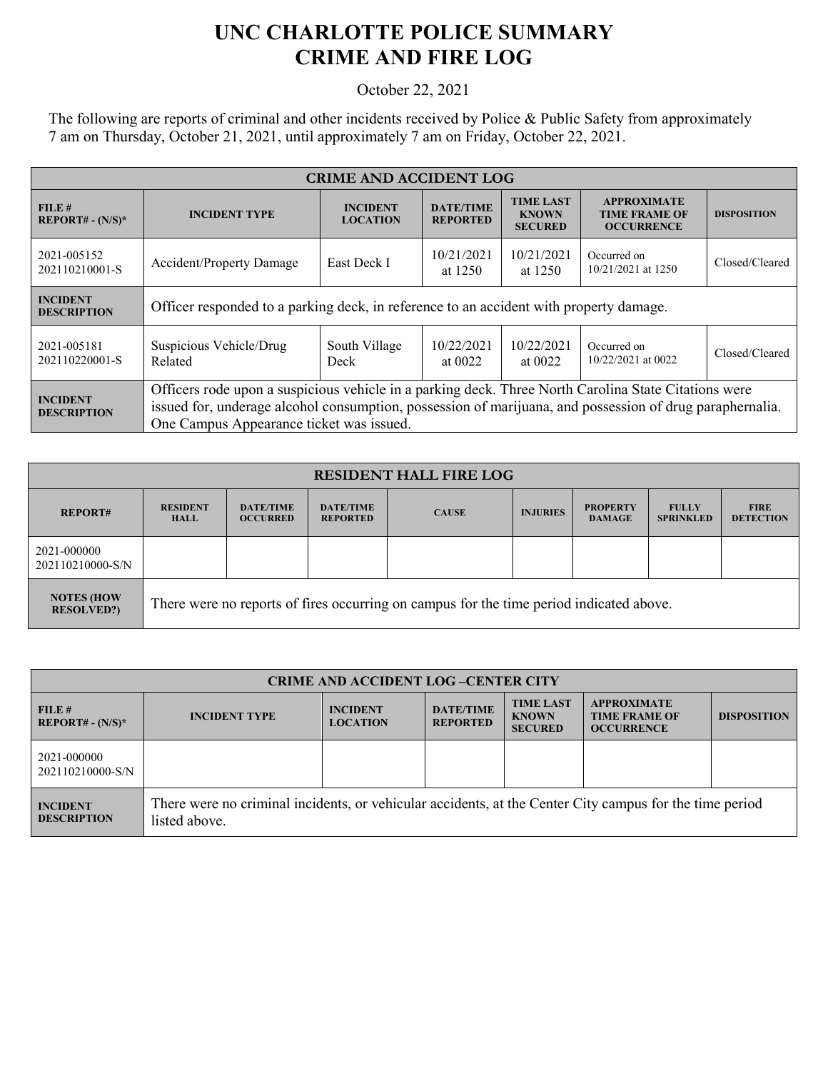## **UNC CHARLOTTE POLICE SUMMARY CRIME AND FIRE LOG**

October 22, 2021

The following are reports of criminal and other incidents received by Police & Public Safety from approximately 7 am on Thursday, October 21, 2021, until approximately 7 am on Friday, October 22, 2021.

| <b>CRIME AND ACCIDENT LOG</b>         |                                                                                                                                                                                                                                                              |                                                                              |                                     |                                                    |                                                                 |                    |  |
|---------------------------------------|--------------------------------------------------------------------------------------------------------------------------------------------------------------------------------------------------------------------------------------------------------------|------------------------------------------------------------------------------|-------------------------------------|----------------------------------------------------|-----------------------------------------------------------------|--------------------|--|
| FILE#<br><b>REPORT# - (N/S)*</b>      | <b>INCIDENT</b><br><b>INCIDENT TYPE</b><br><b>LOCATION</b>                                                                                                                                                                                                   |                                                                              | <b>DATE/TIME</b><br><b>REPORTED</b> | <b>TIME LAST</b><br><b>KNOWN</b><br><b>SECURED</b> | <b>APPROXIMATE</b><br><b>TIME FRAME OF</b><br><b>OCCURRENCE</b> | <b>DISPOSITION</b> |  |
| 2021-005152<br>202110210001-S         | <b>Accident/Property Damage</b>                                                                                                                                                                                                                              | 10/21/2021<br>10/21/2021<br>Occurred on<br>East Deck I<br>at 1250<br>at 1250 |                                     | 10/21/2021 at 1250                                 | Closed/Cleared                                                  |                    |  |
| <b>INCIDENT</b><br><b>DESCRIPTION</b> | Officer responded to a parking deck, in reference to an accident with property damage.                                                                                                                                                                       |                                                                              |                                     |                                                    |                                                                 |                    |  |
| 2021-005181<br>202110220001-S         | Suspicious Vehicle/Drug<br>Related                                                                                                                                                                                                                           | South Village<br>Deck                                                        | 10/22/2021<br>at $0022$             | 10/22/2021<br>at $0022$                            | Occurred on<br>$10/22/2021$ at 0022                             | Closed/Cleared     |  |
| <b>INCIDENT</b><br><b>DESCRIPTION</b> | Officers rode upon a suspicious vehicle in a parking deck. Three North Carolina State Citations were<br>issued for, underage alcohol consumption, possession of marijuana, and possession of drug paraphernalia.<br>One Campus Appearance ticket was issued. |                                                                              |                                     |                                                    |                                                                 |                    |  |

| <b>RESIDENT HALL FIRE LOG</b>          |                                                                                         |                                     |                                     |              |                 |                                  |                                  |                                 |
|----------------------------------------|-----------------------------------------------------------------------------------------|-------------------------------------|-------------------------------------|--------------|-----------------|----------------------------------|----------------------------------|---------------------------------|
| <b>REPORT#</b>                         | <b>RESIDENT</b><br><b>HALL</b>                                                          | <b>DATE/TIME</b><br><b>OCCURRED</b> | <b>DATE/TIME</b><br><b>REPORTED</b> | <b>CAUSE</b> | <b>INJURIES</b> | <b>PROPERTY</b><br><b>DAMAGE</b> | <b>FULLY</b><br><b>SPRINKLED</b> | <b>FIRE</b><br><b>DETECTION</b> |
| 2021-000000<br>202110210000-S/N        |                                                                                         |                                     |                                     |              |                 |                                  |                                  |                                 |
| <b>NOTES (HOW</b><br><b>RESOLVED?)</b> | There were no reports of fires occurring on campus for the time period indicated above. |                                     |                                     |              |                 |                                  |                                  |                                 |

| <b>CRIME AND ACCIDENT LOG-CENTER CITY</b> |                                                                                                                          |                                    |                                     |                                                    |                                                                 |                    |
|-------------------------------------------|--------------------------------------------------------------------------------------------------------------------------|------------------------------------|-------------------------------------|----------------------------------------------------|-----------------------------------------------------------------|--------------------|
| FILE #<br>$REPORT# - (N/S)*$              | <b>INCIDENT TYPE</b>                                                                                                     | <b>INCIDENT</b><br><b>LOCATION</b> | <b>DATE/TIME</b><br><b>REPORTED</b> | <b>TIME LAST</b><br><b>KNOWN</b><br><b>SECURED</b> | <b>APPROXIMATE</b><br><b>TIME FRAME OF</b><br><b>OCCURRENCE</b> | <b>DISPOSITION</b> |
| 2021-000000<br>202110210000-S/N           |                                                                                                                          |                                    |                                     |                                                    |                                                                 |                    |
| <b>INCIDENT</b><br><b>DESCRIPTION</b>     | There were no criminal incidents, or vehicular accidents, at the Center City campus for the time period<br>listed above. |                                    |                                     |                                                    |                                                                 |                    |